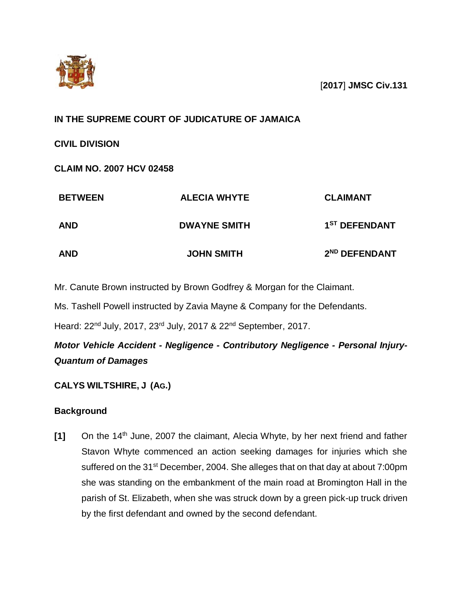

[**2017**] **JMSC Civ.131**

# **IN THE SUPREME COURT OF JUDICATURE OF JAMAICA**

**CIVIL DIVISION**

**CLAIM NO. 2007 HCV 02458**

| <b>BETWEEN</b><br><b>AND</b> | <b>ALECIA WHYTE</b><br><b>DWAYNE SMITH</b> | <b>CLAIMANT</b><br>1 <sup>ST</sup> DEFENDANT |
|------------------------------|--------------------------------------------|----------------------------------------------|
|                              |                                            |                                              |

Mr. Canute Brown instructed by Brown Godfrey & Morgan for the Claimant.

Ms. Tashell Powell instructed by Zavia Mayne & Company for the Defendants.

Heard: 22nd July, 2017, 23rd July, 2017 & 22nd September, 2017.

*Motor Vehicle Accident - Negligence - Contributory Negligence - Personal Injury-Quantum of Damages* 

# **CALYS WILTSHIRE, J (AG.)**

# **Background**

[1] On the 14<sup>th</sup> June, 2007 the claimant, Alecia Whyte, by her next friend and father Stavon Whyte commenced an action seeking damages for injuries which she suffered on the 31<sup>st</sup> December, 2004. She alleges that on that day at about 7:00pm she was standing on the embankment of the main road at Bromington Hall in the parish of St. Elizabeth, when she was struck down by a green pick-up truck driven by the first defendant and owned by the second defendant.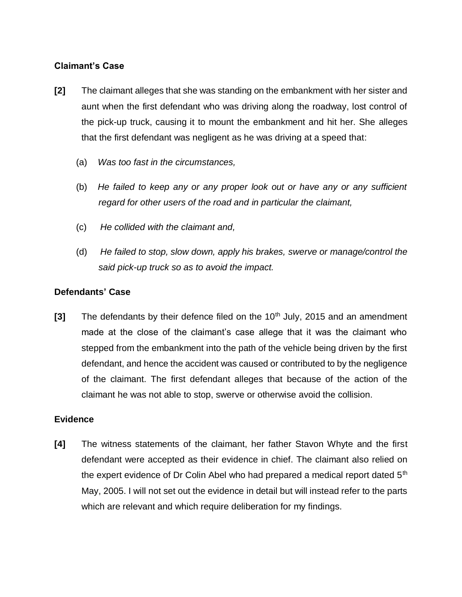## **Claimant's Case**

- **[2]** The claimant alleges that she was standing on the embankment with her sister and aunt when the first defendant who was driving along the roadway, lost control of the pick-up truck, causing it to mount the embankment and hit her. She alleges that the first defendant was negligent as he was driving at a speed that:
	- (a) *Was too fast in the circumstances,*
	- (b) *He failed to keep any or any proper look out or have any or any sufficient regard for other users of the road and in particular the claimant,*
	- (c) *He collided with the claimant and,*
	- (d) *He failed to stop, slow down, apply his brakes, swerve or manage/control the said pick-up truck so as to avoid the impact.*

## **Defendants' Case**

**[3]** The defendants by their defence filed on the 10<sup>th</sup> July, 2015 and an amendment made at the close of the claimant's case allege that it was the claimant who stepped from the embankment into the path of the vehicle being driven by the first defendant, and hence the accident was caused or contributed to by the negligence of the claimant. The first defendant alleges that because of the action of the claimant he was not able to stop, swerve or otherwise avoid the collision.

### **Evidence**

**[4]** The witness statements of the claimant, her father Stavon Whyte and the first defendant were accepted as their evidence in chief. The claimant also relied on the expert evidence of Dr Colin Abel who had prepared a medical report dated  $5<sup>th</sup>$ May, 2005. I will not set out the evidence in detail but will instead refer to the parts which are relevant and which require deliberation for my findings.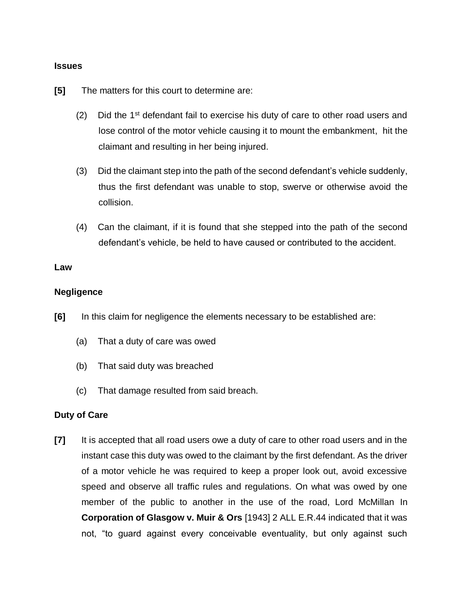#### **Issues**

**[5]** The matters for this court to determine are:

- (2) Did the  $1<sup>st</sup>$  defendant fail to exercise his duty of care to other road users and lose control of the motor vehicle causing it to mount the embankment, hit the claimant and resulting in her being injured.
- (3) Did the claimant step into the path of the second defendant's vehicle suddenly, thus the first defendant was unable to stop, swerve or otherwise avoid the collision.
- (4) Can the claimant, if it is found that she stepped into the path of the second defendant's vehicle, be held to have caused or contributed to the accident.

#### **Law**

### **Negligence**

- **[6]** In this claim for negligence the elements necessary to be established are:
	- (a) That a duty of care was owed
	- (b) That said duty was breached
	- (c) That damage resulted from said breach.

### **Duty of Care**

**[7]** It is accepted that all road users owe a duty of care to other road users and in the instant case this duty was owed to the claimant by the first defendant. As the driver of a motor vehicle he was required to keep a proper look out, avoid excessive speed and observe all traffic rules and regulations. On what was owed by one member of the public to another in the use of the road, Lord McMillan In **Corporation of Glasgow v. Muir & Ors** [1943] 2 ALL E.R.44 indicated that it was not, "to guard against every conceivable eventuality, but only against such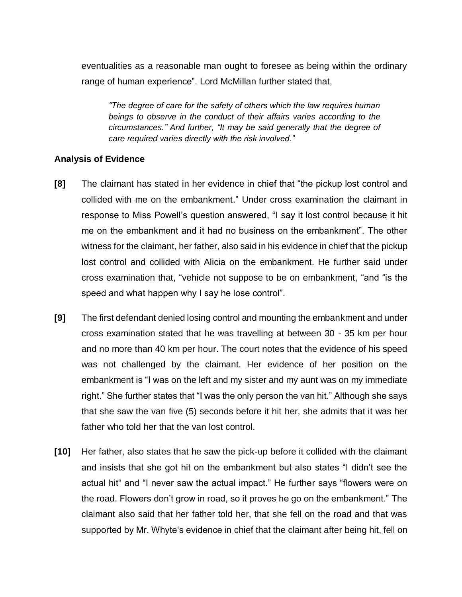eventualities as a reasonable man ought to foresee as being within the ordinary range of human experience". Lord McMillan further stated that,

*"The degree of care for the safety of others which the law requires human beings to observe in the conduct of their affairs varies according to the circumstances." And further, "It may be said generally that the degree of care required varies directly with the risk involved."*

### **Analysis of Evidence**

- **[8]** The claimant has stated in her evidence in chief that "the pickup lost control and collided with me on the embankment." Under cross examination the claimant in response to Miss Powell's question answered, "I say it lost control because it hit me on the embankment and it had no business on the embankment". The other witness for the claimant, her father, also said in his evidence in chief that the pickup lost control and collided with Alicia on the embankment. He further said under cross examination that, "vehicle not suppose to be on embankment, "and "is the speed and what happen why I say he lose control".
- **[9]** The first defendant denied losing control and mounting the embankment and under cross examination stated that he was travelling at between 30 - 35 km per hour and no more than 40 km per hour. The court notes that the evidence of his speed was not challenged by the claimant. Her evidence of her position on the embankment is "I was on the left and my sister and my aunt was on my immediate right." She further states that "I was the only person the van hit." Although she says that she saw the van five (5) seconds before it hit her, she admits that it was her father who told her that the van lost control.
- **[10]** Her father, also states that he saw the pick-up before it collided with the claimant and insists that she got hit on the embankment but also states "I didn't see the actual hit" and "I never saw the actual impact." He further says "flowers were on the road. Flowers don't grow in road, so it proves he go on the embankment." The claimant also said that her father told her, that she fell on the road and that was supported by Mr. Whyte's evidence in chief that the claimant after being hit, fell on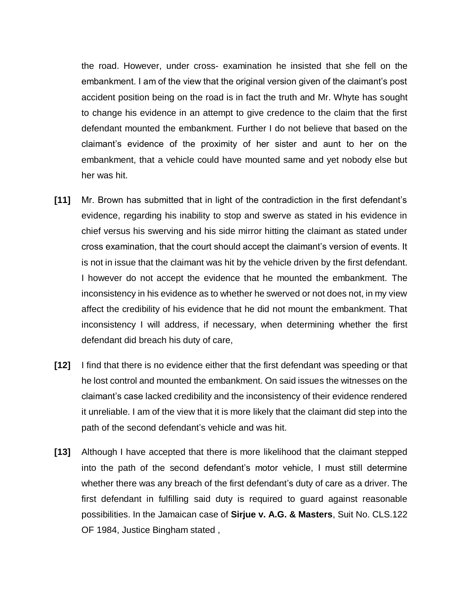the road. However, under cross- examination he insisted that she fell on the embankment. I am of the view that the original version given of the claimant's post accident position being on the road is in fact the truth and Mr. Whyte has sought to change his evidence in an attempt to give credence to the claim that the first defendant mounted the embankment. Further I do not believe that based on the claimant's evidence of the proximity of her sister and aunt to her on the embankment, that a vehicle could have mounted same and yet nobody else but her was hit.

- **[11]** Mr. Brown has submitted that in light of the contradiction in the first defendant's evidence, regarding his inability to stop and swerve as stated in his evidence in chief versus his swerving and his side mirror hitting the claimant as stated under cross examination, that the court should accept the claimant's version of events. It is not in issue that the claimant was hit by the vehicle driven by the first defendant. I however do not accept the evidence that he mounted the embankment. The inconsistency in his evidence as to whether he swerved or not does not, in my view affect the credibility of his evidence that he did not mount the embankment. That inconsistency I will address, if necessary, when determining whether the first defendant did breach his duty of care,
- **[12]** I find that there is no evidence either that the first defendant was speeding or that he lost control and mounted the embankment. On said issues the witnesses on the claimant's case lacked credibility and the inconsistency of their evidence rendered it unreliable. I am of the view that it is more likely that the claimant did step into the path of the second defendant's vehicle and was hit.
- **[13]** Although I have accepted that there is more likelihood that the claimant stepped into the path of the second defendant's motor vehicle, I must still determine whether there was any breach of the first defendant's duty of care as a driver. The first defendant in fulfilling said duty is required to guard against reasonable possibilities. In the Jamaican case of **Sirjue v. A.G. & Masters**, Suit No. CLS.122 OF 1984, Justice Bingham stated ,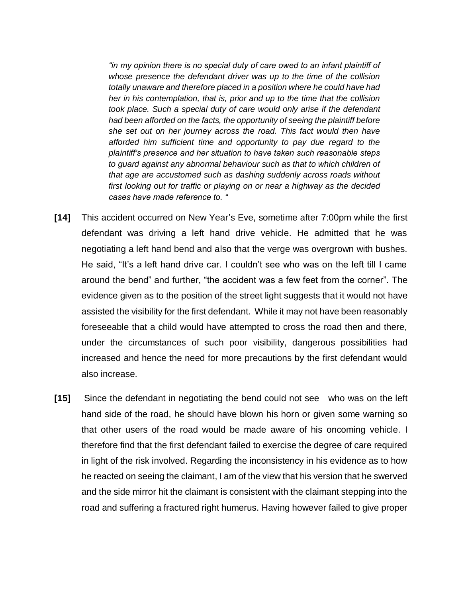*"in my opinion there is no special duty of care owed to an infant plaintiff of whose presence the defendant driver was up to the time of the collision totally unaware and therefore placed in a position where he could have had her in his contemplation, that is, prior and up to the time that the collision took place. Such a special duty of care would only arise if the defendant had been afforded on the facts, the opportunity of seeing the plaintiff before she set out on her journey across the road. This fact would then have afforded him sufficient time and opportunity to pay due regard to the plaintiff's presence and her situation to have taken such reasonable steps to guard against any abnormal behaviour such as that to which children of that age are accustomed such as dashing suddenly across roads without first looking out for traffic or playing on or near a highway as the decided cases have made reference to. "*

- **[14]** This accident occurred on New Year's Eve, sometime after 7:00pm while the first defendant was driving a left hand drive vehicle. He admitted that he was negotiating a left hand bend and also that the verge was overgrown with bushes. He said, "It's a left hand drive car. I couldn't see who was on the left till I came around the bend" and further, "the accident was a few feet from the corner". The evidence given as to the position of the street light suggests that it would not have assisted the visibility for the first defendant. While it may not have been reasonably foreseeable that a child would have attempted to cross the road then and there, under the circumstances of such poor visibility, dangerous possibilities had increased and hence the need for more precautions by the first defendant would also increase.
- **[15]** Since the defendant in negotiating the bend could not see who was on the left hand side of the road, he should have blown his horn or given some warning so that other users of the road would be made aware of his oncoming vehicle. I therefore find that the first defendant failed to exercise the degree of care required in light of the risk involved. Regarding the inconsistency in his evidence as to how he reacted on seeing the claimant, I am of the view that his version that he swerved and the side mirror hit the claimant is consistent with the claimant stepping into the road and suffering a fractured right humerus. Having however failed to give proper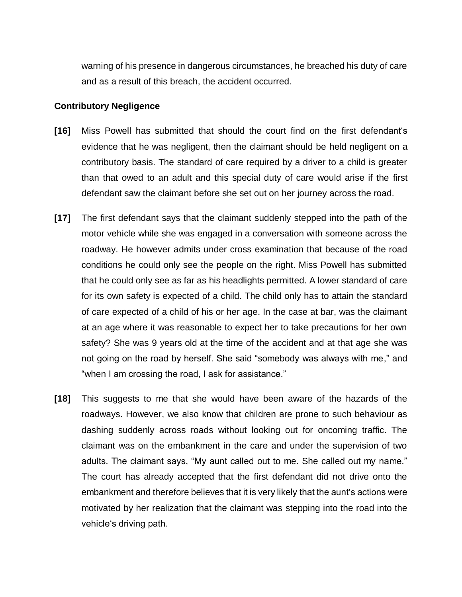warning of his presence in dangerous circumstances, he breached his duty of care and as a result of this breach, the accident occurred.

### **Contributory Negligence**

- **[16]** Miss Powell has submitted that should the court find on the first defendant's evidence that he was negligent, then the claimant should be held negligent on a contributory basis. The standard of care required by a driver to a child is greater than that owed to an adult and this special duty of care would arise if the first defendant saw the claimant before she set out on her journey across the road.
- **[17]** The first defendant says that the claimant suddenly stepped into the path of the motor vehicle while she was engaged in a conversation with someone across the roadway. He however admits under cross examination that because of the road conditions he could only see the people on the right. Miss Powell has submitted that he could only see as far as his headlights permitted. A lower standard of care for its own safety is expected of a child. The child only has to attain the standard of care expected of a child of his or her age. In the case at bar, was the claimant at an age where it was reasonable to expect her to take precautions for her own safety? She was 9 years old at the time of the accident and at that age she was not going on the road by herself. She said "somebody was always with me," and "when I am crossing the road, I ask for assistance."
- **[18]** This suggests to me that she would have been aware of the hazards of the roadways. However, we also know that children are prone to such behaviour as dashing suddenly across roads without looking out for oncoming traffic. The claimant was on the embankment in the care and under the supervision of two adults. The claimant says, "My aunt called out to me. She called out my name." The court has already accepted that the first defendant did not drive onto the embankment and therefore believes that it is very likely that the aunt's actions were motivated by her realization that the claimant was stepping into the road into the vehicle's driving path.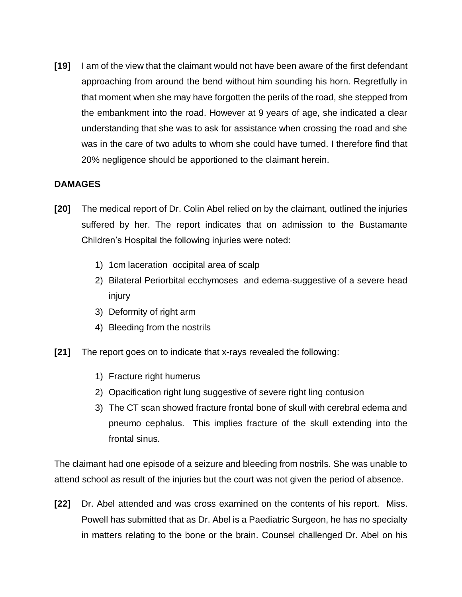**[19]** I am of the view that the claimant would not have been aware of the first defendant approaching from around the bend without him sounding his horn. Regretfully in that moment when she may have forgotten the perils of the road, she stepped from the embankment into the road. However at 9 years of age, she indicated a clear understanding that she was to ask for assistance when crossing the road and she was in the care of two adults to whom she could have turned. I therefore find that 20% negligence should be apportioned to the claimant herein.

## **DAMAGES**

- **[20]** The medical report of Dr. Colin Abel relied on by the claimant, outlined the injuries suffered by her. The report indicates that on admission to the Bustamante Children's Hospital the following injuries were noted:
	- 1) 1cm laceration occipital area of scalp
	- 2) Bilateral Periorbital ecchymoses and edema-suggestive of a severe head injury
	- 3) Deformity of right arm
	- 4) Bleeding from the nostrils
- **[21]** The report goes on to indicate that x-rays revealed the following:
	- 1) Fracture right humerus
	- 2) Opacification right lung suggestive of severe right ling contusion
	- 3) The CT scan showed fracture frontal bone of skull with cerebral edema and pneumo cephalus. This implies fracture of the skull extending into the frontal sinus.

The claimant had one episode of a seizure and bleeding from nostrils. She was unable to attend school as result of the injuries but the court was not given the period of absence.

**[22]** Dr. Abel attended and was cross examined on the contents of his report. Miss. Powell has submitted that as Dr. Abel is a Paediatric Surgeon, he has no specialty in matters relating to the bone or the brain. Counsel challenged Dr. Abel on his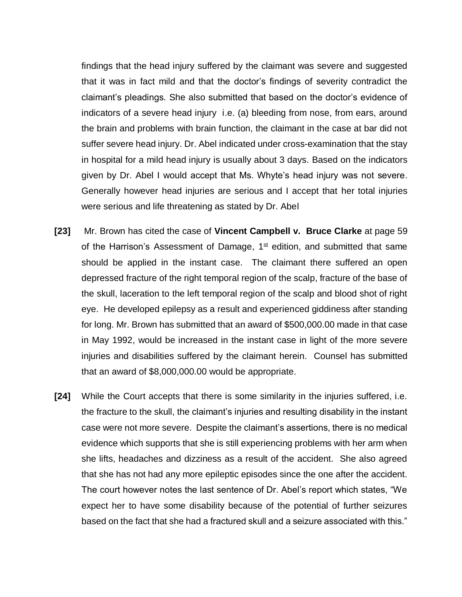findings that the head injury suffered by the claimant was severe and suggested that it was in fact mild and that the doctor's findings of severity contradict the claimant's pleadings. She also submitted that based on the doctor's evidence of indicators of a severe head injury i.e. (a) bleeding from nose, from ears, around the brain and problems with brain function, the claimant in the case at bar did not suffer severe head injury. Dr. Abel indicated under cross-examination that the stay in hospital for a mild head injury is usually about 3 days. Based on the indicators given by Dr. Abel I would accept that Ms. Whyte's head injury was not severe. Generally however head injuries are serious and I accept that her total injuries were serious and life threatening as stated by Dr. Abel

- **[23]** Mr. Brown has cited the case of **Vincent Campbell v. Bruce Clarke** at page 59 of the Harrison's Assessment of Damage, 1<sup>st</sup> edition, and submitted that same should be applied in the instant case. The claimant there suffered an open depressed fracture of the right temporal region of the scalp, fracture of the base of the skull, laceration to the left temporal region of the scalp and blood shot of right eye. He developed epilepsy as a result and experienced giddiness after standing for long. Mr. Brown has submitted that an award of \$500,000.00 made in that case in May 1992, would be increased in the instant case in light of the more severe injuries and disabilities suffered by the claimant herein. Counsel has submitted that an award of \$8,000,000.00 would be appropriate.
- **[24]** While the Court accepts that there is some similarity in the injuries suffered, i.e. the fracture to the skull, the claimant's injuries and resulting disability in the instant case were not more severe. Despite the claimant's assertions, there is no medical evidence which supports that she is still experiencing problems with her arm when she lifts, headaches and dizziness as a result of the accident. She also agreed that she has not had any more epileptic episodes since the one after the accident. The court however notes the last sentence of Dr. Abel's report which states, "We expect her to have some disability because of the potential of further seizures based on the fact that she had a fractured skull and a seizure associated with this."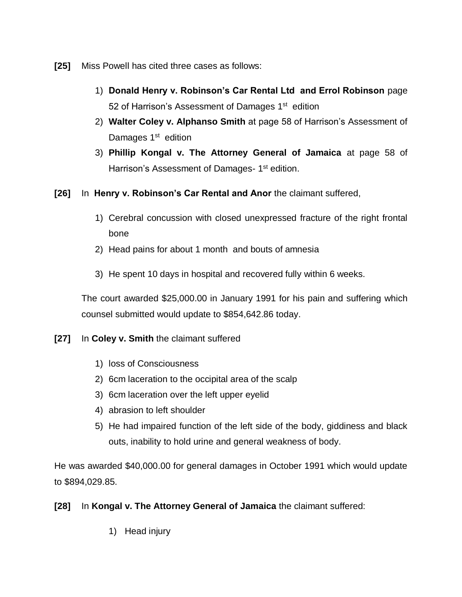- **[25]** Miss Powell has cited three cases as follows:
	- 1) **Donald Henry v. Robinson's Car Rental Ltd and Errol Robinson** page 52 of Harrison's Assessment of Damages 1<sup>st</sup> edition
	- 2) **Walter Coley v. Alphanso Smith** at page 58 of Harrison's Assessment of Damages 1<sup>st</sup> edition
	- 3) **Phillip Kongal v. The Attorney General of Jamaica** at page 58 of Harrison's Assessment of Damages- 1<sup>st</sup> edition.
- **[26]** In **Henry v. Robinson's Car Rental and Anor** the claimant suffered,
	- 1) Cerebral concussion with closed unexpressed fracture of the right frontal bone
	- 2) Head pains for about 1 month and bouts of amnesia
	- 3) He spent 10 days in hospital and recovered fully within 6 weeks.

The court awarded \$25,000.00 in January 1991 for his pain and suffering which counsel submitted would update to \$854,642.86 today.

- **[27]** In **Coley v. Smith** the claimant suffered
	- 1) loss of Consciousness
	- 2) 6cm laceration to the occipital area of the scalp
	- 3) 6cm laceration over the left upper eyelid
	- 4) abrasion to left shoulder
	- 5) He had impaired function of the left side of the body, giddiness and black outs, inability to hold urine and general weakness of body.

He was awarded \$40,000.00 for general damages in October 1991 which would update to \$894,029.85.

# **[28]** In **Kongal v. The Attorney General of Jamaica** the claimant suffered:

1) Head injury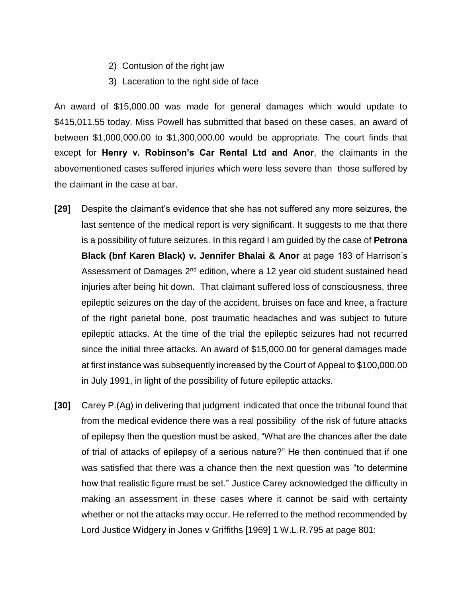- 2) Contusion of the right jaw
- 3) Laceration to the right side of face

An award of \$15,000.00 was made for general damages which would update to \$415,011.55 today. Miss Powell has submitted that based on these cases, an award of between \$1,000,000.00 to \$1,300,000.00 would be appropriate. The court finds that except for **Henry v. Robinson's Car Rental Ltd and Anor**, the claimants in the abovementioned cases suffered injuries which were less severe than those suffered by the claimant in the case at bar.

- **[29]** Despite the claimant's evidence that she has not suffered any more seizures, the last sentence of the medical report is very significant. It suggests to me that there is a possibility of future seizures. In this regard I am guided by the case of **Petrona Black (bnf Karen Black) v. Jennifer Bhalai & Anor** at page 183 of Harrison's Assessment of Damages 2<sup>nd</sup> edition, where a 12 year old student sustained head injuries after being hit down. That claimant suffered loss of consciousness, three epileptic seizures on the day of the accident, bruises on face and knee, a fracture of the right parietal bone, post traumatic headaches and was subject to future epileptic attacks. At the time of the trial the epileptic seizures had not recurred since the initial three attacks. An award of \$15,000.00 for general damages made at first instance was subsequently increased by the Court of Appeal to \$100,000.00 in July 1991, in light of the possibility of future epileptic attacks.
- **[30]** Carey P.(Ag) in delivering that judgment indicated that once the tribunal found that from the medical evidence there was a real possibility of the risk of future attacks of epilepsy then the question must be asked, "What are the chances after the date of trial of attacks of epilepsy of a serious nature?" He then continued that if one was satisfied that there was a chance then the next question was "to determine how that realistic figure must be set." Justice Carey acknowledged the difficulty in making an assessment in these cases where it cannot be said with certainty whether or not the attacks may occur. He referred to the method recommended by Lord Justice Widgery in Jones v Griffiths [1969] 1 W.L.R.795 at page 801: